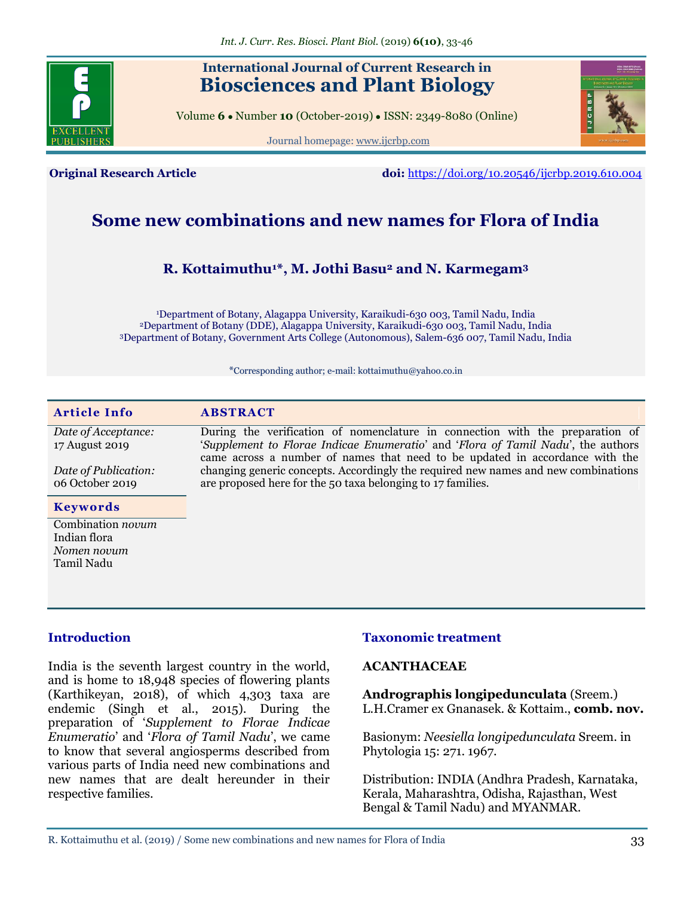

## **International Journal of Current Research in Biosciences and Plant Biology**

Volume **6** ● Number **10** (October-2019) ● ISSN: 2349-8080 (Online)





**Original Research Article doi:** <https://doi.org/10.20546/ijcrbp.2019.610.004>

# **Some new combinations and new names for Flora of India**

### **R. Kottaimuthu1\*, M. Jothi Basu<sup>2</sup> and N. Karmegam<sup>3</sup>**

<sup>1</sup>Department of Botany, Alagappa University, Karaikudi-630 003, Tamil Nadu, India <sup>2</sup>Department of Botany (DDE), Alagappa University, Karaikudi-630 003, Tamil Nadu, India <sup>3</sup>Department of Botany, Government Arts College (Autonomous), Salem-636 007, Tamil Nadu, India

\*Corresponding author; e-mail: kottaimuthu@yahoo.co.in

| <b>Article Info</b>                                            | <b>ABSTRACT</b>                                                                                                                                                                                                                                   |
|----------------------------------------------------------------|---------------------------------------------------------------------------------------------------------------------------------------------------------------------------------------------------------------------------------------------------|
| Date of Acceptance:<br>17 August 2019                          | During the verification of nomenclature in connection with the preparation of<br>'Supplement to Florae Indicae Enumeratio' and 'Flora of Tamil Nadu', the authors<br>came across a number of names that need to be updated in accordance with the |
| Date of Publication:<br>06 October 2019                        | changing generic concepts. Accordingly the required new names and new combinations<br>are proposed here for the 50 taxa belonging to 17 families.                                                                                                 |
| <b>Keywords</b>                                                |                                                                                                                                                                                                                                                   |
| Combination novum<br>Indian flora<br>Nomen novum<br>Tamil Nadu |                                                                                                                                                                                                                                                   |

#### **Introduction**

India is the seventh largest country in the world, and is home to 18,948 species of flowering plants (Karthikeyan, 2018), of which 4,303 taxa are endemic (Singh et al., 2015). During the preparation of ‗*Supplement to Florae Indicae Enumeratio*' and ‗*Flora of Tamil Nadu*', we came to know that several angiosperms described from various parts of India need new combinations and new names that are dealt hereunder in their respective families.

#### **Taxonomic treatment**

#### **ACANTHACEAE**

**Andrographis longipedunculata** (Sreem.) L.H.Cramer ex Gnanasek. & Kottaim., **comb. nov.** 

Basionym: *Neesiella longipedunculata* Sreem. in Phytologia 15: 271. 1967.

Distribution: INDIA (Andhra Pradesh, Karnataka, Kerala, Maharashtra, Odisha, Rajasthan, West Bengal & Tamil Nadu) and MYANMAR.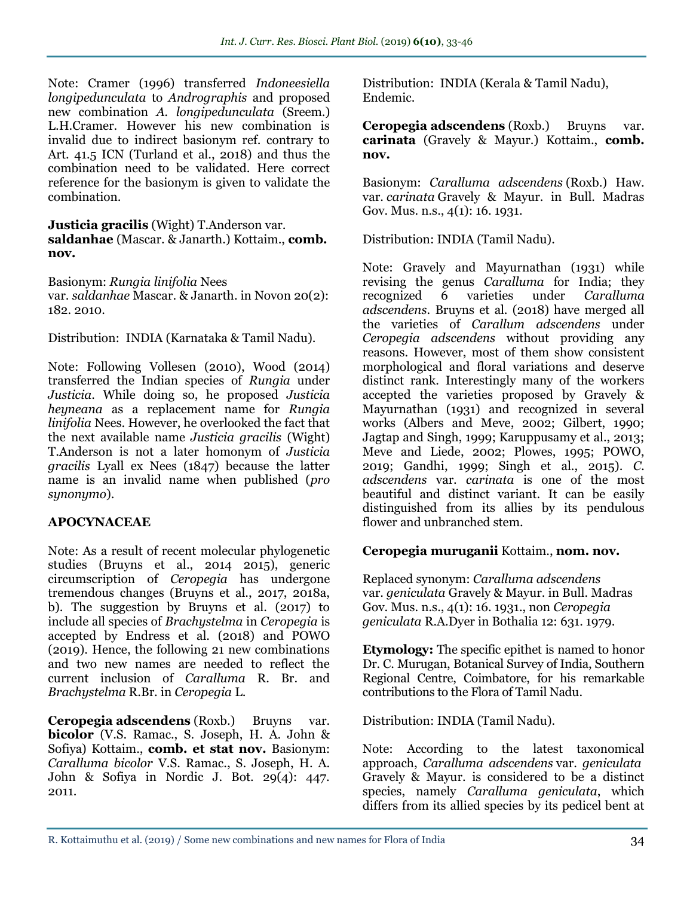Note: Cramer (1996) transferred *Indoneesiella longipedunculata* to *Andrographis* and proposed new combination *A. longipedunculata* (Sreem.) L.H.Cramer. However his new combination is invalid due to indirect basionym ref. contrary to Art. 41.5 ICN (Turland et al., 2018) and thus the combination need to be validated. Here correct reference for the basionym is given to validate the combination.

**Justicia gracilis** (Wight) T.Anderson var. **saldanhae** (Mascar. & Janarth.) Kottaim., **comb. nov.**

Basionym: *Rungia linifolia* Nees var. *saldanhae* Mascar. & Janarth. in Novon 20(2): 182. 2010.

Distribution: INDIA (Karnataka & Tamil Nadu).

Note: Following Vollesen (2010), Wood (2014) transferred the Indian species of *Rungia* under *Justicia*. While doing so, he proposed *Justicia heyneana* as a replacement name for *Rungia linifolia* Nees. However, he overlooked the fact that the next available name *Justicia gracilis* (Wight) T.Anderson is not a later homonym of *Justicia gracilis* Lyall ex Nees (1847) because the latter name is an invalid name when published (*pro synonymo*).

### **APOCYNACEAE**

Note: As a result of recent molecular phylogenetic studies (Bruyns et al., 2014 2015), generic circumscription of *Ceropegia* has undergone tremendous changes (Bruyns et al., 2017, 2018a, b). The suggestion by Bruyns et al. (2017) to include all species of *Brachystelma* in *Ceropegia* is accepted by Endress et al. (2018) and POWO (2019). Hence, the following 21 new combinations and two new names are needed to reflect the current inclusion of *Caralluma* R. Br. and *Brachystelma* R.Br. in *Ceropegia* L.

**Ceropegia adscendens** (Roxb.) Bruyns var. **bicolor** (V.S. Ramac., S. Joseph, H. A. John & Sofiya) Kottaim., **comb. et stat nov.** Basionym: *Caralluma bicolor* V.S. Ramac., S. Joseph, H. A. John & Sofiya in Nordic J. Bot. 29(4): 447. 2011.

Distribution: INDIA (Kerala & Tamil Nadu), Endemic.

**Ceropegia adscendens** (Roxb.) Bruyns var. **carinata** (Gravely & Mayur.) Kottaim., **comb. nov.**

Basionym: *Caralluma adscendens* (Roxb.) Haw. var. *carinata* Gravely & Mayur. in Bull. Madras Gov. Mus. n.s., 4(1): 16. 1931.

Distribution: INDIA (Tamil Nadu).

Note: Gravely and Mayurnathan (1931) while revising the genus *Caralluma* for India; they recognized 6 varieties under *Caralluma adscendens*. Bruyns et al. (2018) have merged all the varieties of *Carallum adscendens* under *Ceropegia adscendens* without providing any reasons. However, most of them show consistent morphological and floral variations and deserve distinct rank. Interestingly many of the workers accepted the varieties proposed by Gravely & Mayurnathan (1931) and recognized in several works (Albers and Meve, 2002; Gilbert, 1990; Jagtap and Singh, 1999; Karuppusamy et al., 2013; Meve and Liede, 2002; Plowes, 1995; POWO, 2019; Gandhi, 1999; Singh et al., 2015). *C. adscendens* var. *carinata* is one of the most beautiful and distinct variant. It can be easily distinguished from its allies by its pendulous flower and unbranched stem.

### **Ceropegia muruganii** Kottaim., **nom. nov.**

Replaced synonym: *Caralluma adscendens* var. *geniculata* Gravely & Mayur. in Bull. Madras Gov. Mus. n.s., 4(1): 16. 1931., non *Ceropegia geniculata* R.A.Dyer in Bothalia 12: 631. 1979.

**Etymology:** The specific epithet is named to honor Dr. C. Murugan, Botanical Survey of India, Southern Regional Centre, Coimbatore, for his remarkable contributions to the Flora of Tamil Nadu.

Distribution: INDIA (Tamil Nadu).

Note: According to the latest taxonomical approach, *Caralluma adscendens* var. *geniculata* Gravely & Mayur. is considered to be a distinct species, namely *Caralluma geniculata*, which differs from its allied species by its pedicel bent at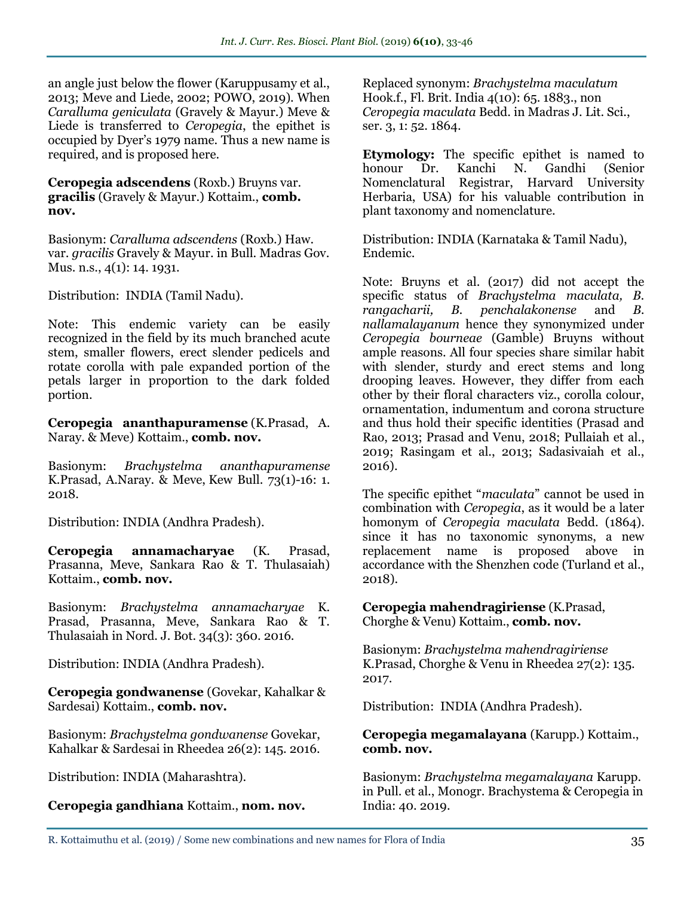an angle just below the flower (Karuppusamy et al., 2013; Meve and Liede, 2002; POWO, 2019). When *Caralluma geniculata* (Gravely & Mayur.) Meve & Liede is transferred to *Ceropegia*, the epithet is occupied by Dyer's 1979 name. Thus a new name is required, and is proposed here.

**Ceropegia adscendens** (Roxb.) Bruyns var. **gracilis** (Gravely & Mayur.) Kottaim., **comb. nov.** 

Basionym: *Caralluma adscendens* (Roxb.) Haw. var. *gracilis* Gravely & Mayur. in Bull. Madras Gov. Mus. n.s., 4(1): 14. 1931.

Distribution: INDIA (Tamil Nadu).

Note: This endemic variety can be easily recognized in the field by its much branched acute stem, smaller flowers, erect slender pedicels and rotate corolla with pale expanded portion of the petals larger in proportion to the dark folded portion.

**Ceropegia ananthapuramense** (K.Prasad, A. Naray. & Meve) Kottaim., **comb. nov.**

Basionym: *Brachystelma ananthapuramense* K.Prasad, A.Naray. & Meve, Kew Bull. 73(1)-16: 1. 2018.

Distribution: INDIA (Andhra Pradesh).

**Ceropegia annamacharyae** (K. Prasad, Prasanna, Meve, Sankara Rao & T. Thulasaiah) Kottaim., **comb. nov.**

Basionym: *Brachystelma annamacharyae* K. Prasad, Prasanna, Meve, Sankara Rao & T. Thulasaiah in Nord. J. Bot. 34(3): 360. 2016.

Distribution: INDIA (Andhra Pradesh).

**Ceropegia gondwanense** (Govekar, Kahalkar & Sardesai) Kottaim., **comb. nov.**

Basionym: *Brachystelma gondwanense* Govekar, Kahalkar & Sardesai in Rheedea 26(2): 145. 2016.

Distribution: INDIA (Maharashtra).

**Ceropegia gandhiana** Kottaim., **nom. nov.**

Replaced synonym: *Brachystelma maculatum* Hook.f., Fl. Brit. India 4(10): 65. 1883., non *Ceropegia maculata* Bedd. in Madras J. Lit. Sci., ser. 3, 1: 52. 1864.

**Etymology:** The specific epithet is named to honour Dr. Kanchi N. Gandhi (Senior Nomenclatural Registrar, Harvard University Herbaria, USA) for his valuable contribution in plant taxonomy and nomenclature.

Distribution: INDIA (Karnataka & Tamil Nadu), Endemic.

Note: Bruyns et al. (2017) did not accept the specific status of *Brachystelma maculata, B. rangacharii, B. penchalakonense* and *B. nallamalayanum* hence they synonymized under *Ceropegia bourneae* (Gamble) Bruyns without ample reasons. All four species share similar habit with slender, sturdy and erect stems and long drooping leaves. However, they differ from each other by their floral characters viz., corolla colour, ornamentation, indumentum and corona structure and thus hold their specific identities (Prasad and Rao, 2013; Prasad and Venu, 2018; Pullaiah et al., 2019; Rasingam et al., 2013; Sadasivaiah et al., 2016).

The specific epithet "*maculata*" cannot be used in combination with *Ceropegia*, as it would be a later homonym of *Ceropegia maculata* Bedd. (1864). since it has no taxonomic synonyms, a new replacement name is proposed above in accordance with the Shenzhen code (Turland et al., 2018).

**Ceropegia mahendragiriense** (K.Prasad, Chorghe & Venu) Kottaim., **comb. nov.**

Basionym: *Brachystelma mahendragiriense* K.Prasad, Chorghe & Venu in Rheedea 27(2): 135. 2017.

Distribution: INDIA (Andhra Pradesh).

**Ceropegia megamalayana** (Karupp.) Kottaim., **comb. nov.** 

Basionym: *Brachystelma megamalayana* Karupp. in Pull. et al., Monogr. Brachystema & Ceropegia in India: 40. 2019.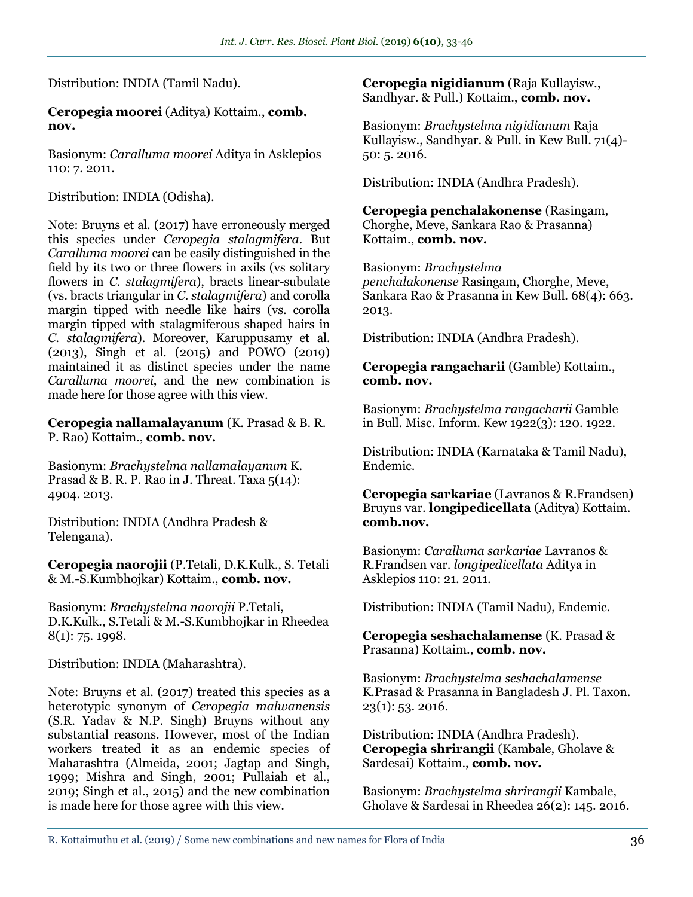Distribution: INDIA (Tamil Nadu).

**Ceropegia moorei** (Aditya) Kottaim., **comb. nov.**

Basionym: *Caralluma moorei* Aditya in Asklepios 110: 7. 2011.

Distribution: INDIA (Odisha).

Note: Bruyns et al. (2017) have erroneously merged this species under *Ceropegia stalagmifera*. But *Caralluma moorei* can be easily distinguished in the field by its two or three flowers in axils (vs solitary flowers in *C. stalagmifera*), bracts linear-subulate (vs. bracts triangular in *C. stalagmifera*) and corolla margin tipped with needle like hairs (vs. corolla margin tipped with stalagmiferous shaped hairs in *C. stalagmifera*). Moreover, Karuppusamy et al. (2013), Singh et al. (2015) and POWO (2019) maintained it as distinct species under the name *Caralluma moorei*, and the new combination is made here for those agree with this view.

**Ceropegia nallamalayanum** (K. Prasad & B. R. P. Rao) Kottaim., **comb. nov.** 

Basionym: *Brachystelma nallamalayanum* K. Prasad & B. R. P. Rao in J. Threat. Taxa  $5(14)$ : 4904. 2013.

Distribution: INDIA (Andhra Pradesh & Telengana).

**Ceropegia naorojii** (P.Tetali, D.K.Kulk., S. Tetali & M.-S.Kumbhojkar) Kottaim., **comb. nov.**

Basionym: *Brachystelma naorojii* P.Tetali, D.K.Kulk., S.Tetali & M.-S.Kumbhojkar in Rheedea 8(1): 75. 1998.

Distribution: INDIA (Maharashtra).

Note: Bruyns et al. (2017) treated this species as a heterotypic synonym of *Ceropegia malwanensis* (S.R. Yadav & N.P. Singh) Bruyns without any substantial reasons. However, most of the Indian workers treated it as an endemic species of Maharashtra (Almeida, 2001; Jagtap and Singh, 1999; Mishra and Singh, 2001; Pullaiah et al., 2019; Singh et al., 2015) and the new combination is made here for those agree with this view.

**Ceropegia nigidianum** (Raja Kullayisw., Sandhyar. & Pull.) Kottaim., **comb. nov.** 

Basionym: *Brachystelma nigidianum* Raja Kullayisw., Sandhyar. & Pull. in Kew Bull. 71(4)- 50: 5. 2016.

Distribution: INDIA (Andhra Pradesh).

**Ceropegia penchalakonense** (Rasingam, Chorghe, Meve, Sankara Rao & Prasanna) Kottaim., **comb. nov.**

Basionym: *Brachystelma penchalakonense* Rasingam, Chorghe, Meve,

Sankara Rao & Prasanna in Kew Bull. 68(4): 663. 2013.

Distribution: INDIA (Andhra Pradesh).

### **Ceropegia rangacharii** (Gamble) Kottaim., **comb. nov.**

Basionym: *Brachystelma rangacharii* Gamble in Bull. Misc. Inform. Kew 1922(3): 120. 1922.

Distribution: INDIA (Karnataka & Tamil Nadu), Endemic.

**Ceropegia sarkariae** (Lavranos & R.Frandsen) Bruyns var. **longipedicellata** (Aditya) Kottaim. **comb.nov.**

Basionym: *Caralluma sarkariae* Lavranos & R.Frandsen var. *longipedicellata* Aditya in Asklepios 110: 21. 2011.

Distribution: INDIA (Tamil Nadu), Endemic.

**Ceropegia seshachalamense** (K. Prasad & Prasanna) Kottaim., **comb. nov.**

Basionym: *Brachystelma seshachalamense* K.Prasad & Prasanna in Bangladesh J. Pl. Taxon. 23(1): 53. 2016.

Distribution: INDIA (Andhra Pradesh). **Ceropegia shrirangii** (Kambale, Gholave & Sardesai) Kottaim., **comb. nov.**

Basionym: *Brachystelma shrirangii* Kambale, Gholave & Sardesai in Rheedea 26(2): 145. 2016.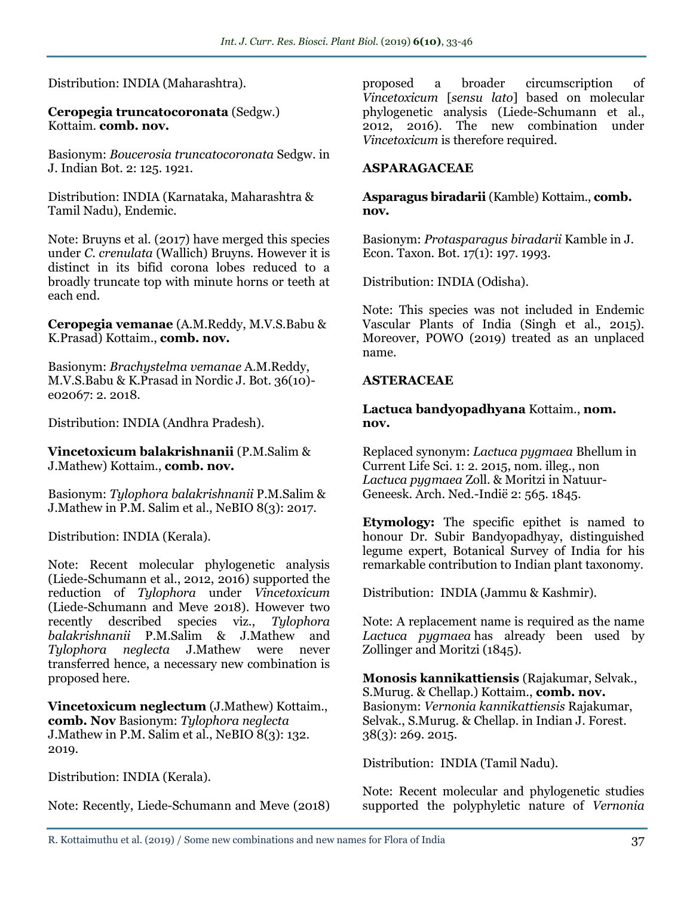#### Distribution: INDIA (Maharashtra).

#### **Ceropegia truncatocoronata** (Sedgw.) Kottaim. **comb. nov.**

Basionym: *Boucerosia truncatocoronata* Sedgw. in J. Indian Bot. 2: 125. 1921.

Distribution: INDIA (Karnataka, Maharashtra & Tamil Nadu), Endemic.

Note: Bruyns et al. (2017) have merged this species under *C. crenulata* (Wallich) Bruyns. However it is distinct in its bifid corona lobes reduced to a broadly truncate top with minute horns or teeth at each end.

**Ceropegia vemanae** (A.M.Reddy, M.V.S.Babu & K.Prasad) Kottaim., **comb. nov.**

Basionym: *Brachystelma vemanae* A.M.Reddy, M.V.S.Babu & K.Prasad in Nordic J. Bot. 36(10) e02067: 2. 2018.

Distribution: INDIA (Andhra Pradesh).

**Vincetoxicum balakrishnanii** (P.M.Salim & J.Mathew) Kottaim., **comb. nov.**

Basionym: *Tylophora balakrishnanii* P.M.Salim & J.Mathew in P.M. Salim et al., NeBIO 8(3): 2017.

Distribution: INDIA (Kerala).

Note: Recent molecular phylogenetic analysis (Liede-Schumann et al., 2012, 2016) supported the reduction of *Tylophora* under *Vincetoxicum* (Liede-Schumann and Meve 2018). However two recently described species viz., *Tylophora balakrishnanii* P.M.Salim & J.Mathew and *Tylophora neglecta* J.Mathew were never transferred hence, a necessary new combination is proposed here.

**Vincetoxicum neglectum** (J.Mathew) Kottaim., **comb. Nov** Basionym: *Tylophora neglecta* J.Mathew in P.M. Salim et al., NeBIO 8(3): 132. 2019.

Distribution: INDIA (Kerala).

Note: Recently, Liede-Schumann and Meve (2018)

proposed a broader circumscription of *Vincetoxicum* [*sensu lato*] based on molecular phylogenetic analysis (Liede-Schumann et al., 2012, 2016). The new combination under *Vincetoxicum* is therefore required.

#### **ASPARAGACEAE**

**Asparagus biradarii** (Kamble) Kottaim., **comb. nov.**

Basionym: *Protasparagus biradarii* Kamble in J. Econ. Taxon. Bot. 17(1): 197. 1993.

Distribution: INDIA (Odisha).

Note: This species was not included in Endemic Vascular Plants of India (Singh et al., 2015). Moreover, POWO (2019) treated as an unplaced name.

#### **ASTERACEAE**

#### **Lactuca bandyopadhyana** Kottaim., **nom. nov.**

Replaced synonym: *Lactuca pygmaea* Bhellum in Current Life Sci. 1: 2. 2015, nom. illeg., non *Lactuca pygmaea* Zoll. & Moritzi in Natuur-Geneesk. Arch. Ned.-Indië 2: 565. 1845.

**Etymology:** The specific epithet is named to honour Dr. Subir Bandyopadhyay, distinguished legume expert, Botanical Survey of India for his remarkable contribution to Indian plant taxonomy.

Distribution: INDIA (Jammu & Kashmir).

Note: A replacement name is required as the name *Lactuca pygmaea* has already been used by Zollinger and Moritzi (1845).

**Monosis kannikattiensis** (Rajakumar, Selvak., S.Murug. & Chellap.) Kottaim., **comb. nov.** Basionym: *Vernonia kannikattiensis* Rajakumar, Selvak., S.Murug. & Chellap. in Indian J. Forest. 38(3): 269. 2015.

Distribution: INDIA (Tamil Nadu).

Note: Recent molecular and phylogenetic studies supported the polyphyletic nature of *Vernonia*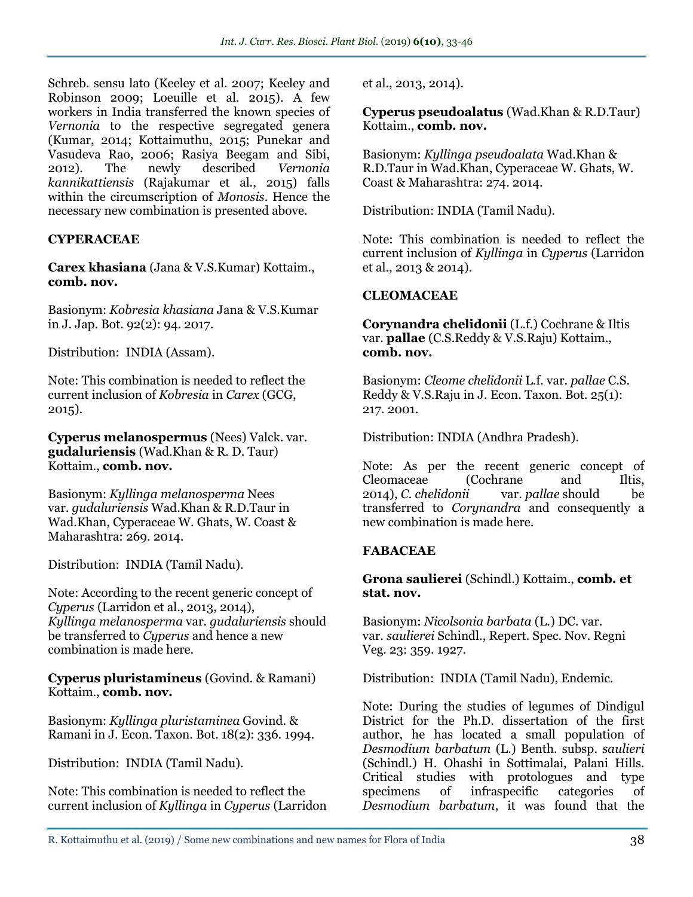Schreb. sensu lato (Keeley et al. 2007; Keeley and Robinson 2009; Loeuille et al. 2015). A few workers in India transferred the known species of *Vernonia* to the respective segregated genera (Kumar, 2014; Kottaimuthu, 2015; Punekar and Vasudeva Rao, 2006; Rasiya Beegam and Sibi, 2012). The newly described *Vernonia kannikattiensis* (Rajakumar et al., 2015) falls within the circumscription of *Monosis*. Hence the necessary new combination is presented above.

### **CYPERACEAE**

**Carex khasiana** (Jana & V.S.Kumar) Kottaim., **comb. nov.** 

Basionym: *Kobresia khasiana* Jana & V.S.Kumar in J. Jap. Bot. 92(2): 94. 2017.

Distribution: INDIA (Assam).

Note: This combination is needed to reflect the current inclusion of *Kobresia* in *Carex* (GCG, 2015).

**Cyperus melanospermus** (Nees) Valck. var. **gudaluriensis** (Wad.Khan & R. D. Taur) Kottaim., **comb. nov.**

Basionym: *Kyllinga melanosperma* Nees var. *gudaluriensis* Wad.Khan & R.D.Taur in Wad.Khan, Cyperaceae W. Ghats, W. Coast & Maharashtra: 269. 2014.

Distribution: INDIA (Tamil Nadu).

Note: According to the recent generic concept of *Cyperus* (Larridon et al., 2013, 2014), *Kyllinga melanosperma* var. *gudaluriensis* should be transferred to *Cyperus* and hence a new combination is made here.

**Cyperus pluristamineus** (Govind. & Ramani) Kottaim., **comb. nov.**

Basionym: *Kyllinga pluristaminea* Govind. & Ramani in J. Econ. Taxon. Bot. 18(2): 336. 1994.

Distribution: INDIA (Tamil Nadu).

Note: This combination is needed to reflect the current inclusion of *Kyllinga* in *Cyperus* (Larridon et al., 2013, 2014).

**Cyperus pseudoalatus** (Wad.Khan & R.D.Taur) Kottaim., **comb. nov.**

Basionym: *Kyllinga pseudoalata* Wad.Khan & R.D.Taur in Wad.Khan, Cyperaceae W. Ghats, W. Coast & Maharashtra: 274. 2014.

Distribution: INDIA (Tamil Nadu).

Note: This combination is needed to reflect the current inclusion of *Kyllinga* in *Cyperus* (Larridon et al., 2013 & 2014).

### **CLEOMACEAE**

**Corynandra chelidonii** (L.f.) Cochrane & Iltis var. **pallae** (C.S.Reddy & V.S.Raju) Kottaim., **comb. nov.**

Basionym: *Cleome chelidonii* L.f. var. *pallae* C.S. Reddy & V.S.Raju in J. Econ. Taxon. Bot. 25(1): 217. 2001.

Distribution: INDIA (Andhra Pradesh).

Note: As per the recent generic concept of Cleomaceae (Cochrane and Iltis, 2014), *C. chelidonii* var. *pallae* should be transferred to *Corynandra* and consequently a new combination is made here.

### **FABACEAE**

**Grona saulierei** (Schindl.) Kottaim., **comb. et stat. nov.**

Basionym: *Nicolsonia barbata* (L.) DC. var. var. *saulierei* Schindl., Repert. Spec. Nov. Regni Veg. 23: 359. 1927.

Distribution: INDIA (Tamil Nadu), Endemic.

Note: During the studies of legumes of Dindigul District for the Ph.D. dissertation of the first author, he has located a small population of *Desmodium barbatum* (L.) Benth. subsp. *saulieri* (Schindl.) H. Ohashi in Sottimalai, Palani Hills. Critical studies with protologues and type specimens of infraspecific categories of *Desmodium barbatum*, it was found that the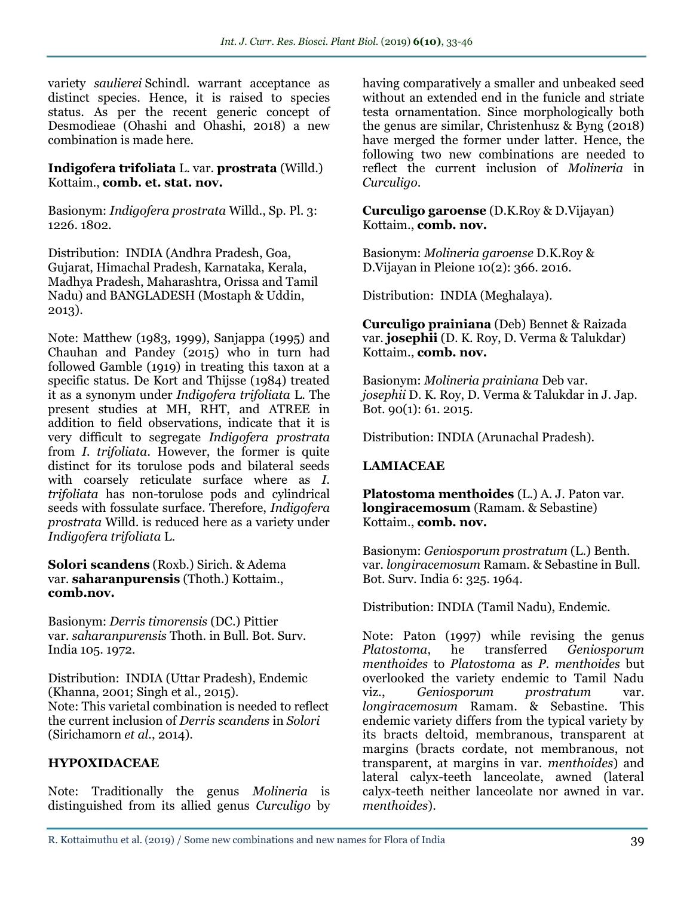variety *saulierei* Schindl. warrant acceptance as distinct species. Hence, it is raised to species status. As per the recent generic concept of Desmodieae (Ohashi and Ohashi, 2018) a new combination is made here.

#### **Indigofera trifoliata** L. var. **prostrata** (Willd.) Kottaim., **comb. et. stat. nov.**

Basionym: *Indigofera prostrata* Willd., Sp. Pl. 3: 1226. 1802.

Distribution: INDIA (Andhra Pradesh, Goa, Gujarat, Himachal Pradesh, Karnataka, Kerala, Madhya Pradesh, Maharashtra, Orissa and Tamil Nadu) and BANGLADESH (Mostaph & Uddin, 2013).

Note: Matthew (1983, 1999), Sanjappa (1995) and Chauhan and Pandey (2015) who in turn had followed Gamble (1919) in treating this taxon at a specific status. De Kort and Thijsse (1984) treated it as a synonym under *Indigofera trifoliata* L. The present studies at MH, RHT, and ATREE in addition to field observations, indicate that it is very difficult to segregate *Indigofera prostrata* from *I. trifoliata*. However, the former is quite distinct for its torulose pods and bilateral seeds with coarsely reticulate surface where as *I*. *trifoliata* has non-torulose pods and cylindrical seeds with fossulate surface. Therefore, *Indigofera prostrata* Willd. is reduced here as a variety under *Indigofera trifoliata* L.

**Solori scandens** (Roxb.) Sirich. & Adema var. **saharanpurensis** (Thoth.) Kottaim., **comb.nov.** 

Basionym: *Derris timorensis* (DC.) Pittier var. *saharanpurensis* Thoth. in Bull. Bot. Surv. India 105. 1972.

Distribution: INDIA (Uttar Pradesh), Endemic (Khanna, 2001; Singh et al., 2015). Note: This varietal combination is needed to reflect the current inclusion of *Derris scandens* in *Solori*  (Sirichamorn *et al.*, 2014).

### **HYPOXIDACEAE**

Note: Traditionally the genus *Molineria* is distinguished from its allied genus *Curculigo* by having comparatively a smaller and unbeaked seed without an extended end in the funicle and striate testa ornamentation. Since morphologically both the genus are similar, Christenhusz & Byng (2018) have merged the former under latter. Hence, the following two new combinations are needed to reflect the current inclusion of *Molineria* in *Curculigo*.

**Curculigo garoense** (D.K.Roy & D.Vijayan) Kottaim., **comb. nov.**

Basionym: *Molineria garoense* D.K.Roy & D.Vijayan in Pleione 10(2): 366. 2016.

Distribution: INDIA (Meghalaya).

**Curculigo prainiana** (Deb) Bennet & Raizada var. **josephii** (D. K. Roy, D. Verma & Talukdar) Kottaim., **comb. nov.**

Basionym: *Molineria prainiana* Deb var. *josephii* D. K. Roy, D. Verma & Talukdar in J. Jap. Bot. 90(1): 61. 2015.

Distribution: INDIA (Arunachal Pradesh).

### **LAMIACEAE**

**Platostoma menthoides** (L.) A. J. Paton var. **longiracemosum** (Ramam. & Sebastine) Kottaim., **comb. nov.**

Basionym: *Geniosporum prostratum* (L.) Benth. var. *longiracemosum* Ramam. & Sebastine in Bull. Bot. Surv. India 6: 325. 1964.

Distribution: INDIA (Tamil Nadu), Endemic.

Note: Paton (1997) while revising the genus *Platostoma*, he transferred *Geniosporum menthoides* to *Platostoma* as *P. menthoides* but overlooked the variety endemic to Tamil Nadu<br>viz., Geniosporum prostratum var. viz., *Geniosporum prostratum* var. *longiracemosum* Ramam. & Sebastine. This endemic variety differs from the typical variety by its bracts deltoid, membranous, transparent at margins (bracts cordate, not membranous, not transparent, at margins in var. *menthoides*) and lateral calyx-teeth lanceolate, awned (lateral calyx-teeth neither lanceolate nor awned in var. *menthoides*).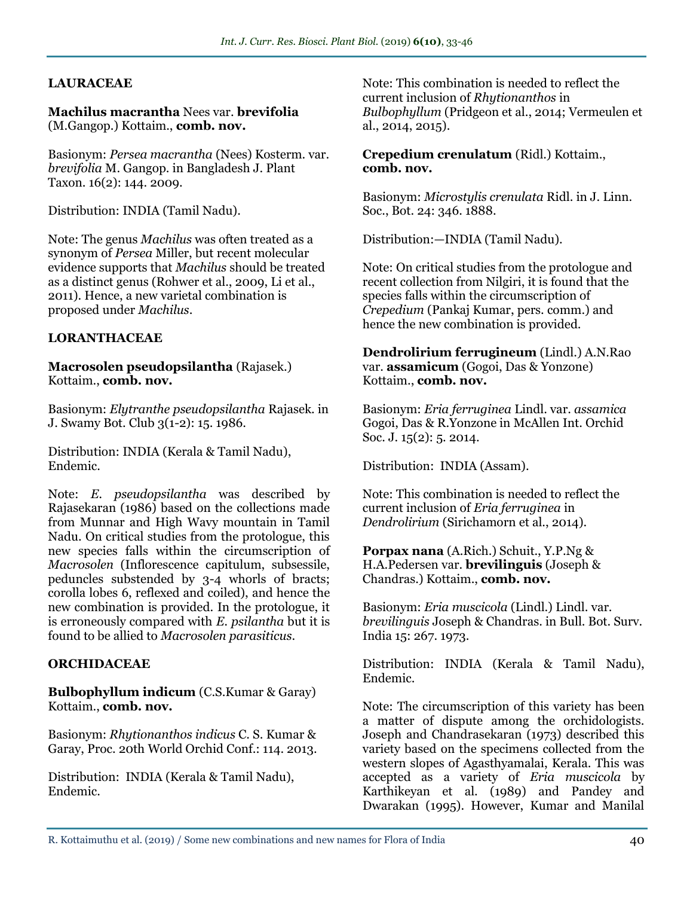### **LAURACEAE**

#### **Machilus macrantha** Nees var. **brevifolia**  (M.Gangop.) Kottaim., **comb. nov.**

Basionym: *Persea macrantha* (Nees) Kosterm. var. *brevifolia* M. Gangop. in Bangladesh J. Plant Taxon. 16(2): 144. 2009.

Distribution: INDIA (Tamil Nadu).

Note: The genus *Machilus* was often treated as a synonym of *Persea* Miller, but recent molecular evidence supports that *Machilus* should be treated as a distinct genus (Rohwer et al., 2009, Li et al., 2011). Hence, a new varietal combination is proposed under *Machilus*.

#### **LORANTHACEAE**

#### **Macrosolen pseudopsilantha** (Rajasek.) Kottaim., **comb. nov.**

Basionym: *Elytranthe pseudopsilantha* Rajasek. in J. Swamy Bot. Club 3(1-2): 15. 1986.

Distribution: INDIA (Kerala & Tamil Nadu), Endemic.

Note: *E. pseudopsilantha* was described by Rajasekaran (1986) based on the collections made from Munnar and High Wavy mountain in Tamil Nadu. On critical studies from the protologue, this new species falls within the circumscription of *Macrosolen* (Inflorescence capitulum, subsessile, peduncles substended by 3-4 whorls of bracts; corolla lobes 6, reflexed and coiled), and hence the new combination is provided. In the protologue, it is erroneously compared with *E. psilantha* but it is found to be allied to *Macrosolen parasiticus*.

#### **ORCHIDACEAE**

**Bulbophyllum indicum** (C.S.Kumar & Garay) Kottaim., **comb. nov.**

Basionym: *Rhytionanthos indicus* C. S. Kumar & Garay, Proc. 20th World Orchid Conf.: 114. 2013.

Distribution: INDIA (Kerala & Tamil Nadu), Endemic.

Note: This combination is needed to reflect the current inclusion of *Rhytionanthos* in *Bulbophyllum* (Pridgeon et al., 2014; Vermeulen et al., 2014, 2015).

#### **Crepedium crenulatum** (Ridl.) Kottaim., **comb. nov.**

Basionym: *Microstylis crenulata* Ridl. in J. Linn. Soc., Bot. 24: 346. 1888.

Distribution:—INDIA (Tamil Nadu).

Note: On critical studies from the protologue and recent collection from Nilgiri, it is found that the species falls within the circumscription of *Crepedium* (Pankaj Kumar, pers. comm.) and hence the new combination is provided.

**Dendrolirium ferrugineum** (Lindl.) A.N.Rao var. **assamicum** (Gogoi, Das & Yonzone) Kottaim., **comb. nov.**

Basionym: *Eria ferruginea* Lindl. var. *assamica* Gogoi, Das & R.Yonzone in McAllen Int. Orchid Soc. J. 15(2): 5. 2014.

Distribution: INDIA (Assam).

Note: This combination is needed to reflect the current inclusion of *Eria ferruginea* in *Dendrolirium* (Sirichamorn et al., 2014).

#### **Porpax nana** (A.Rich.) Schuit., Y.P.Ng & H.A.Pedersen var. **brevilinguis** (Joseph & Chandras.) Kottaim., **comb. nov.**

Basionym: *Eria muscicola* (Lindl.) Lindl. var. *brevilinguis* Joseph & Chandras. in Bull. Bot. Surv. India 15: 267. 1973.

Distribution: INDIA (Kerala & Tamil Nadu), Endemic.

Note: The circumscription of this variety has been a matter of dispute among the orchidologists. Joseph and Chandrasekaran (1973) described this variety based on the specimens collected from the western slopes of Agasthyamalai, Kerala. This was accepted as a variety of *Eria muscicola* by Karthikeyan et al. (1989) and Pandey and Dwarakan (1995). However, Kumar and Manilal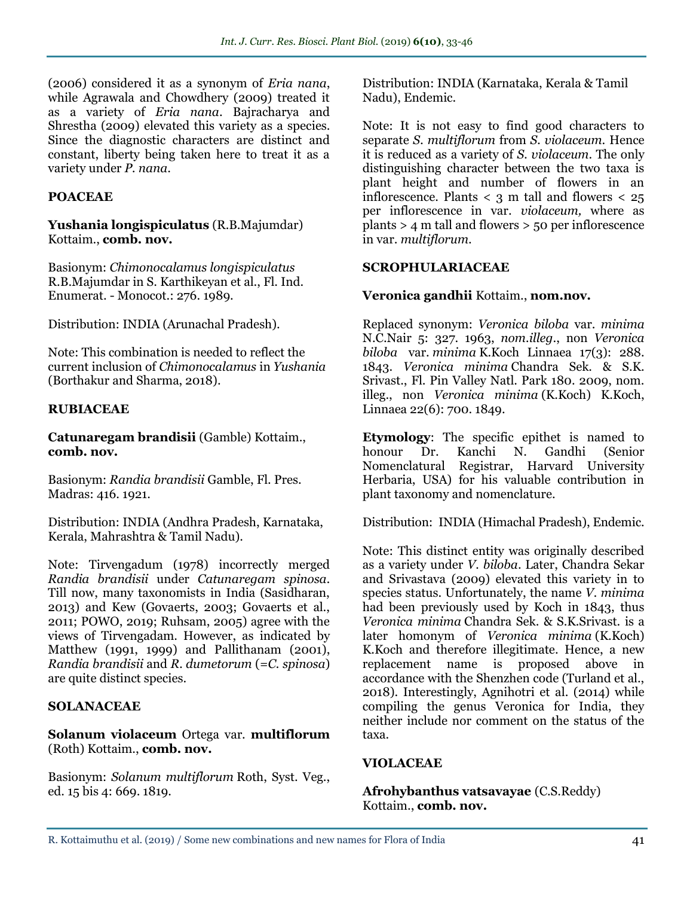(2006) considered it as a synonym of *Eria nana*, while Agrawala and Chowdhery (2009) treated it as a variety of *Eria nana*. Bajracharya and Shrestha (2009) elevated this variety as a species. Since the diagnostic characters are distinct and constant, liberty being taken here to treat it as a variety under *P. nana*.

### **POACEAE**

**Yushania longispiculatus** (R.B.Majumdar) Kottaim., **comb. nov.** 

Basionym: *Chimonocalamus longispiculatus* R.B.Majumdar in S. Karthikeyan et al., Fl. Ind. Enumerat. - Monocot.: 276. 1989.

Distribution: INDIA (Arunachal Pradesh).

Note: This combination is needed to reflect the current inclusion of *Chimonocalamus* in *Yushania* (Borthakur and Sharma, 2018).

### **RUBIACEAE**

**Catunaregam brandisii** (Gamble) Kottaim., **comb. nov.**

Basionym: *Randia brandisii* Gamble, Fl. Pres. Madras: 416. 1921.

Distribution: INDIA (Andhra Pradesh, Karnataka, Kerala, Mahrashtra & Tamil Nadu).

Note: Tirvengadum (1978) incorrectly merged *Randia brandisii* under *Catunaregam spinosa.*  Till now, many taxonomists in India (Sasidharan, 2013) and Kew (Govaerts, 2003; Govaerts et al., 2011; POWO, 2019; Ruhsam, 2005) agree with the views of Tirvengadam. However, as indicated by Matthew (1991, 1999) and Pallithanam (2001), *Randia brandisii* and *R. dumetorum* (=*C. spinosa*) are quite distinct species.

### **SOLANACEAE**

**Solanum violaceum** Ortega var. **multiflorum** (Roth) Kottaim., **comb. nov.**

Basionym: *Solanum multiflorum* Roth, Syst. Veg., ed. 15 bis 4: 669. 1819.

Distribution: INDIA (Karnataka, Kerala & Tamil Nadu), Endemic.

Note: It is not easy to find good characters to separate *S. multiflorum* from *S. violaceum*. Hence it is reduced as a variety of *S. violaceum*. The only distinguishing character between the two taxa is plant height and number of flowers in an inflorescence. Plants  $\langle 3 \rangle$  m tall and flowers  $\langle 25 \rangle$ per inflorescence in var. *violaceum,* where as plants > 4 m tall and flowers > 50 per inflorescence in var. *multiflorum*.

### **SCROPHULARIACEAE**

#### **Veronica gandhii** Kottaim., **nom.nov.**

Replaced synonym: *Veronica biloba* var. *minima* N.C.Nair 5: 327. 1963, *nom.illeg*., non *Veronica biloba* var. *minima* K.Koch Linnaea 17(3): 288. 1843. *Veronica minima* Chandra Sek. & S.K. Srivast., Fl. Pin Valley Natl. Park 180. 2009, nom. illeg., non *Veronica minima* (K.Koch) K.Koch, Linnaea 22(6): 700. 1849.

**Etymology**: The specific epithet is named to honour Dr. Kanchi N. Gandhi (Senior Nomenclatural Registrar, Harvard University Herbaria, USA) for his valuable contribution in plant taxonomy and nomenclature.

Distribution: INDIA (Himachal Pradesh), Endemic.

Note: This distinct entity was originally described as a variety under *V. biloba*. Later, Chandra Sekar and Srivastava (2009) elevated this variety in to species status. Unfortunately, the name *V. minima*  had been previously used by Koch in 1843, thus *Veronica minima* Chandra Sek. & S.K.Srivast. is a later homonym of *Veronica minima* (K.Koch) K.Koch and therefore illegitimate. Hence, a new replacement name is proposed above in accordance with the Shenzhen code (Turland et al., 2018). Interestingly, Agnihotri et al. (2014) while compiling the genus Veronica for India, they neither include nor comment on the status of the taxa.

### **VIOLACEAE**

**Afrohybanthus vatsavayae** (C.S.Reddy) Kottaim., **comb. nov.**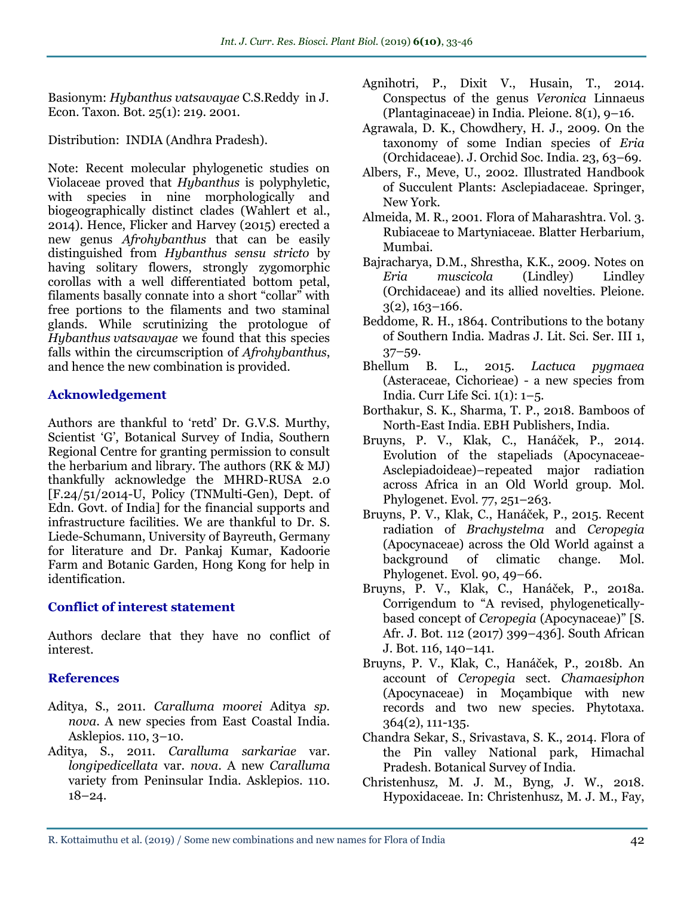Basionym: *Hybanthus vatsavayae* C.S.Reddy in J. Econ. Taxon. Bot. 25(1): 219. 2001.

Distribution: INDIA (Andhra Pradesh).

Note: Recent molecular phylogenetic studies on Violaceae proved that *Hybanthus* is polyphyletic, with species in nine morphologically and biogeographically distinct clades (Wahlert et al., 2014). Hence, Flicker and Harvey (2015) erected a new genus *Afrohybanthus* that can be easily distinguished from *Hybanthus sensu stricto* by having solitary flowers, strongly zygomorphic corollas with a well differentiated bottom petal, filaments basally connate into a short "collar" with free portions to the filaments and two staminal glands. While scrutinizing the protologue of *Hybanthus vatsavayae* we found that this species falls within the circumscription of *Afrohybanthus*, and hence the new combination is provided.

### **Acknowledgement**

Authors are thankful to 'retd' Dr. G.V.S. Murthy, Scientist 'G', Botanical Survey of India, Southern Regional Centre for granting permission to consult the herbarium and library. The authors (RK & MJ) thankfully acknowledge the MHRD-RUSA 2.0 [F.24/51/2014-U, Policy (TNMulti-Gen), Dept. of Edn. Govt. of India] for the financial supports and infrastructure facilities. We are thankful to Dr. S. Liede-Schumann, University of Bayreuth, Germany for literature and Dr. Pankaj Kumar, Kadoorie Farm and Botanic Garden, Hong Kong for help in identification.

### **Conflict of interest statement**

Authors declare that they have no conflict of interest.

### **References**

- Aditya, S., 2011. *Caralluma moorei* Aditya *sp. nova*. A new species from East Coastal India. Asklepios. 110, 3–10.
- Aditya, S., 2011. *Caralluma sarkariae* var. *longipedicellata* var. *nova*. A new *Caralluma* variety from Peninsular India. Asklepios. 110. 18–24.
- Agnihotri, P., Dixit V., Husain, T., 2014. Conspectus of the genus *Veronica* Linnaeus (Plantaginaceae) in India. Pleione*.* 8(1), 9–16.
- Agrawala, D. K., Chowdhery, H. J., 2009. On the taxonomy of some Indian species of *Eria* (Orchidaceae). J. Orchid Soc. India. 23, 63–69.
- Albers, F., Meve, U., 2002. Illustrated Handbook of Succulent Plants: Asclepiadaceae. Springer, New York.
- Almeida, M. R., 2001. Flora of Maharashtra. Vol. 3. Rubiaceae to Martyniaceae. Blatter Herbarium, Mumbai.
- Bajracharya, D.M., Shrestha, K.K., 2009. Notes on *Eria muscicola* (Lindley) Lindley (Orchidaceae) and its allied novelties. Pleione.  $3(2)$ ,  $163-166$ .
- Beddome, R. H., 1864. Contributions to the botany of Southern India. Madras J. Lit. Sci. Ser. III 1, 37–59.
- Bhellum B. L., 2015. *Lactuca pygmaea* (Asteraceae, Cichorieae) - a new species from India. Curr Life Sci. 1(1): 1–5.
- Borthakur, S. K., Sharma, T. P., 2018. Bamboos of North-East India. EBH Publishers, India.
- Bruyns, P. V., Klak, C., Hanáček, P., 2014. Evolution of the stapeliads (Apocynaceae-Asclepiadoideae)–repeated major radiation across Africa in an Old World group. Mol. Phylogenet. Evol. 77, 251–263.
- Bruyns, P. V., Klak, C., Hanáček, P., 2015. Recent radiation of *Brachystelma* and *Ceropegia* (Apocynaceae) across the Old World against a background of climatic change. Mol. Phylogenet. Evol. 90, 49–66.
- Bruyns, P. V., Klak, C., Hanáček, P., 2018a. Corrigendum to "A revised, phylogeneticallybased concept of *Ceropegia* (Apocynaceae)" [S. Afr. J. Bot. 112 (2017) 399–436]. South African J. Bot. 116, 140–141.
- Bruyns, P. V., Klak, C., Hanáček, P., 2018b. An account of *Ceropegia* sect. *Chamaesiphon*  (Apocynaceae) in Moçambique with new records and two new species. Phytotaxa*.*  364(2), 111-135.
- Chandra Sekar, S., Srivastava, S. K., 2014. Flora of the Pin valley National park, Himachal Pradesh. Botanical Survey of India.
- Christenhusz, M. J. M., Byng, J. W., 2018. Hypoxidaceae. In: Christenhusz, M. J. M., Fay,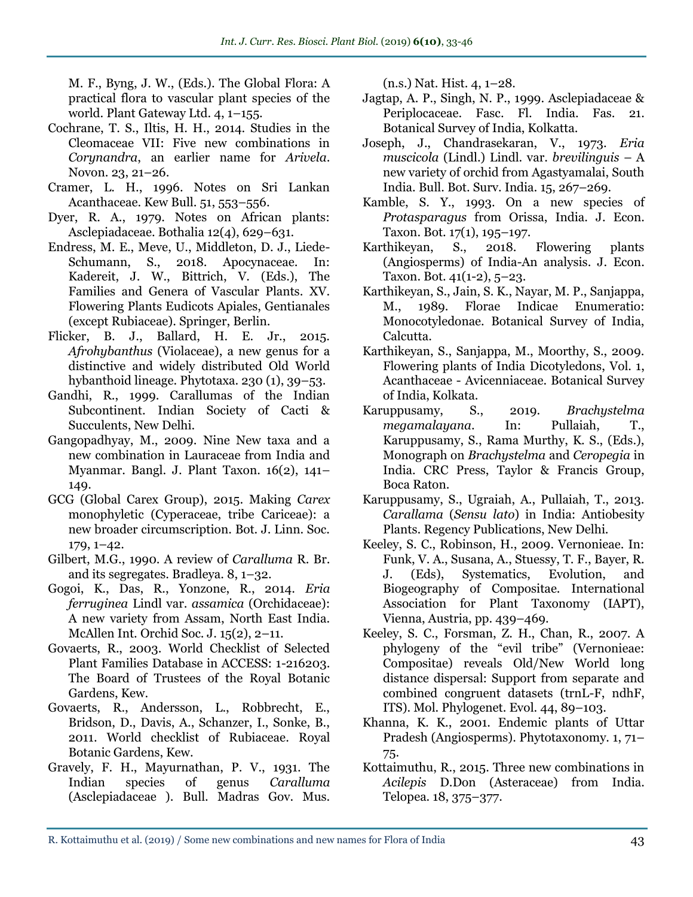M. F., Byng, J. W., (Eds.). The Global Flora: A practical flora to vascular plant species of the world. Plant Gateway Ltd. 4, 1–155.

- Cochrane, T. S., Iltis, H. H., 2014. Studies in the Cleomaceae VII: Five new combinations in *Corynandra*, an earlier name for *Arivela*. Novon. 23, 21–26.
- Cramer, L. H., 1996. Notes on Sri Lankan Acanthaceae. Kew Bull. 51, 553–556.
- Dyer, R. A., 1979. Notes on African plants: Asclepiadaceae. Bothalia 12(4), 629–631.
- Endress, M. E., Meve, U., Middleton, D. J., Liede-Schumann, S., 2018. Apocynaceae. In: Kadereit, J. W., Bittrich, V. (Eds.), The Families and Genera of Vascular Plants. XV. Flowering Plants Eudicots Apiales, Gentianales (except Rubiaceae). Springer, Berlin.
- Flicker, B. J., Ballard, H. E. Jr., 2015. *Afrohybanthus* (Violaceae), a new genus for a distinctive and widely distributed Old World hybanthoid lineage. Phytotaxa. 230 (1), 39–53.
- Gandhi, R., 1999. Carallumas of the Indian Subcontinent. Indian Society of Cacti & Succulents, New Delhi.
- Gangopadhyay, M., 2009. Nine New taxa and a new combination in Lauraceae from India and Myanmar. Bangl. J. Plant Taxon. 16(2), 141– 149.
- GCG (Global Carex Group), 2015. Making *Carex*  monophyletic (Cyperaceae, tribe Cariceae): a new broader circumscription. Bot. J. Linn. Soc. 179, 1–42.
- Gilbert, M.G., 1990. A review of *Caralluma* R. Br. and its segregates. Bradleya. 8, 1–32.
- Gogoi, K., Das, R., Yonzone, R., 2014. *Eria ferruginea* Lindl var. *assamica* (Orchidaceae): A new variety from Assam, North East India. McAllen Int. Orchid Soc. J. 15(2), 2–11.
- Govaerts, R., 2003. World Checklist of Selected Plant Families Database in ACCESS: 1-216203. The Board of Trustees of the Royal Botanic Gardens, Kew.
- Govaerts, R., Andersson, L., Robbrecht, E., Bridson, D., Davis, A., Schanzer, I., Sonke, B., 2011. World checklist of Rubiaceae. Royal Botanic Gardens, Kew.
- Gravely, F. H., Mayurnathan, P. V., 1931. The Indian species of genus *Caralluma*  (Asclepiadaceae ). Bull. Madras Gov. Mus.

(n.s.) Nat. Hist. 4, 1–28.

- Jagtap, A. P., Singh, N. P., 1999. Asclepiadaceae & Periplocaceae. Fasc. Fl. India. Fas. 21. Botanical Survey of India, Kolkatta.
- Joseph, J., Chandrasekaran, V., 1973. *Eria muscicola* (Lindl.) Lindl. var. *brevilinguis* – A new variety of orchid from Agastyamalai, South India. Bull. Bot. Surv. India*.* 15, 267–269.
- Kamble, S. Y., 1993. On a new species of *Protasparagus* from Orissa, India. J. Econ. Taxon. Bot. 17(1), 195–197.
- Karthikeyan, S., 2018. Flowering plants (Angiosperms) of India-An analysis. J. Econ. Taxon. Bot. 41(1-2), 5–23.
- Karthikeyan, S., Jain, S. K., Nayar, M. P., Sanjappa, M., 1989. Florae Indicae Enumeratio: Monocotyledonae. Botanical Survey of India, Calcutta.
- Karthikeyan, S., Sanjappa, M., Moorthy, S., 2009. Flowering plants of India Dicotyledons, Vol. 1, Acanthaceae - Avicenniaceae. Botanical Survey of India, Kolkata.
- Karuppusamy, S., 2019. *Brachystelma megamalayana*. In: Pullaiah, T., Karuppusamy, S., Rama Murthy, K. S., (Eds.), Monograph on *Brachystelma* and *Ceropegia* in India. CRC Press, Taylor & Francis Group, Boca Raton.
- Karuppusamy, S., Ugraiah, A., Pullaiah, T., 2013. *Carallama* (*Sensu lato*) in India: Antiobesity Plants*.* Regency Publications, New Delhi.
- Keeley, S. C., Robinson, H., 2009. Vernonieae. In: Funk, V. A., Susana, A., Stuessy, T. F., Bayer, R. J. (Eds), Systematics, Evolution, and Biogeography of Compositae. International Association for Plant Taxonomy (IAPT), Vienna, Austria, pp. 439–469.
- Keeley, S. C., Forsman, Z. H., Chan, R., 2007. A phylogeny of the "evil tribe" (Vernonieae: Compositae) reveals Old/New World long distance dispersal: Support from separate and combined congruent datasets (trnL-F, ndhF, ITS). Mol. Phylogenet. Evol. 44, 89–103.
- Khanna, K. K., 2001. Endemic plants of Uttar Pradesh (Angiosperms). Phytotaxonomy. 1, 71– 75.
- Kottaimuthu, R., 2015. Three new combinations in *Acilepis* D.Don (Asteraceae) from India. Telopea. 18, 375–377.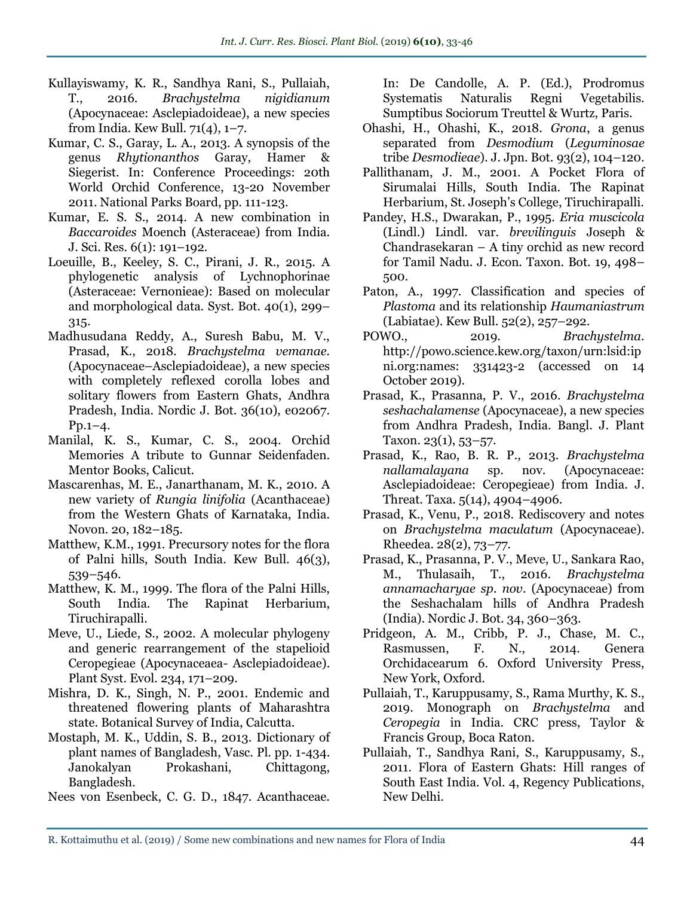- Kullayiswamy, K. R., Sandhya Rani, S., Pullaiah, T., 2016. *Brachystelma nigidianum*  (Apocynaceae: Asclepiadoideae), a new species from India. Kew Bull. 71(4), 1–7.
- Kumar, C. S., Garay, L. A., 2013. A synopsis of the genus *Rhytionanthos* Garay, Hamer & Siegerist. In: Conference Proceedings: 20th World Orchid Conference, 13-20 November 2011. National Parks Board, pp. 111-123.
- Kumar, E. S. S., 2014. A new combination in *Baccaroides* Moench (Asteraceae) from India. J. Sci. Res. 6(1): 191–192.
- Loeuille, B., Keeley, S. C., Pirani, J. R., 2015. A phylogenetic analysis of Lychnophorinae (Asteraceae: Vernonieae): Based on molecular and morphological data. Syst. Bot. 40(1), 299– 315.
- Madhusudana Reddy, A., Suresh Babu, M. V., Prasad, K., 2018. *Brachystelma vemanae.*  (Apocynaceae–Asclepiadoideae), a new species with completely reflexed corolla lobes and solitary flowers from Eastern Ghats, Andhra Pradesh, India. Nordic J. Bot. 36(10), e02067.  $P_{D.1-4.}$
- Manilal, K. S., Kumar, C. S., 2004. Orchid Memories A tribute to Gunnar Seidenfaden. Mentor Books, Calicut.
- Mascarenhas, M. E., Janarthanam, M. K., 2010. A new variety of *Rungia linifolia* (Acanthaceae) from the Western Ghats of Karnataka, India. Novon*.* 20, 182–185.
- Matthew, K.M., 1991. Precursory notes for the flora of Palni hills, South India. Kew Bull. 46(3), 539–546.
- Matthew, K. M., 1999. The flora of the Palni Hills, South India. The Rapinat Herbarium, Tiruchirapalli.
- Meve, U., Liede, S., 2002. A molecular phylogeny and generic rearrangement of the stapelioid Ceropegieae (Apocynaceaea- Asclepiadoideae). Plant Syst. Evol. 234, 171–209.
- Mishra, D. K., Singh, N. P., 2001. Endemic and threatened flowering plants of Maharashtra state. Botanical Survey of India, Calcutta.
- Mostaph, M. K., Uddin, S. B., 2013. Dictionary of plant names of Bangladesh, Vasc. Pl. pp. 1-434. Janokalyan Prokashani, Chittagong, Bangladesh.
- Nees von Esenbeck, C. G. D., 1847. Acanthaceae.

In: De Candolle, A. P. (Ed.), Prodromus Systematis Naturalis Regni Vegetabilis. Sumptibus Sociorum Treuttel & Wurtz, Paris.

- Ohashi, H., Ohashi, K., 2018. *Grona*, a genus separated from *Desmodium* (*Leguminosae*  tribe *Desmodieae*). J. Jpn. Bot. 93(2), 104–120.
- Pallithanam, J. M., 2001. A Pocket Flora of Sirumalai Hills, South India. The Rapinat Herbarium, St. Joseph's College, Tiruchirapalli.
- Pandey, H.S., Dwarakan, P., 1995. *Eria muscicola* (Lindl.) Lindl. var. *brevilinguis* Joseph & Chandrasekaran – A tiny orchid as new record for Tamil Nadu. J. Econ. Taxon. Bot. 19, 498– 500.
- Paton, A., 1997. Classification and species of *Plastoma* and its relationship *Haumaniastrum*  (Labiatae). Kew Bull. 52(2), 257–292.
- POWO., 2019. *Brachystelma*. http://powo.science.kew.org/taxon/urn:lsid:ip ni.org:names: 331423-2 (accessed on 14 October 2019).
- Prasad, K., Prasanna, P. V., 2016. *Brachystelma seshachalamense* (Apocynaceae), a new species from Andhra Pradesh, India. Bangl. J. Plant Taxon. 23(1), 53–57.
- Prasad, K., Rao, B. R. P., 2013. *Brachystelma nallamalayana* sp. nov. (Apocynaceae: Asclepiadoideae: Ceropegieae) from India. J. Threat. Taxa. 5(14), 4904–4906.
- Prasad, K., Venu, P., 2018. Rediscovery and notes on *Brachystelma maculatum* (Apocynaceae). Rheedea. 28(2), 73–77.
- Prasad, K., Prasanna, P. V., Meve, U., Sankara Rao, M., Thulasaih, T., 2016. *Brachystelma annamacharyae sp. nov*. (Apocynaceae) from the Seshachalam hills of Andhra Pradesh (India). Nordic J. Bot. 34, 360–363.
- Pridgeon, A. M., Cribb, P. J., Chase, M. C., Rasmussen, F. N., 2014. Genera Orchidacearum 6. Oxford University Press, New York, Oxford.
- Pullaiah, T., Karuppusamy, S., Rama Murthy, K. S., 2019. Monograph on *Brachystelma* and *Ceropegia* in India. CRC press, Taylor & Francis Group, Boca Raton.
- Pullaiah, T., Sandhya Rani, S., Karuppusamy, S., 2011. Flora of Eastern Ghats: Hill ranges of South East India. Vol. 4, Regency Publications, New Delhi.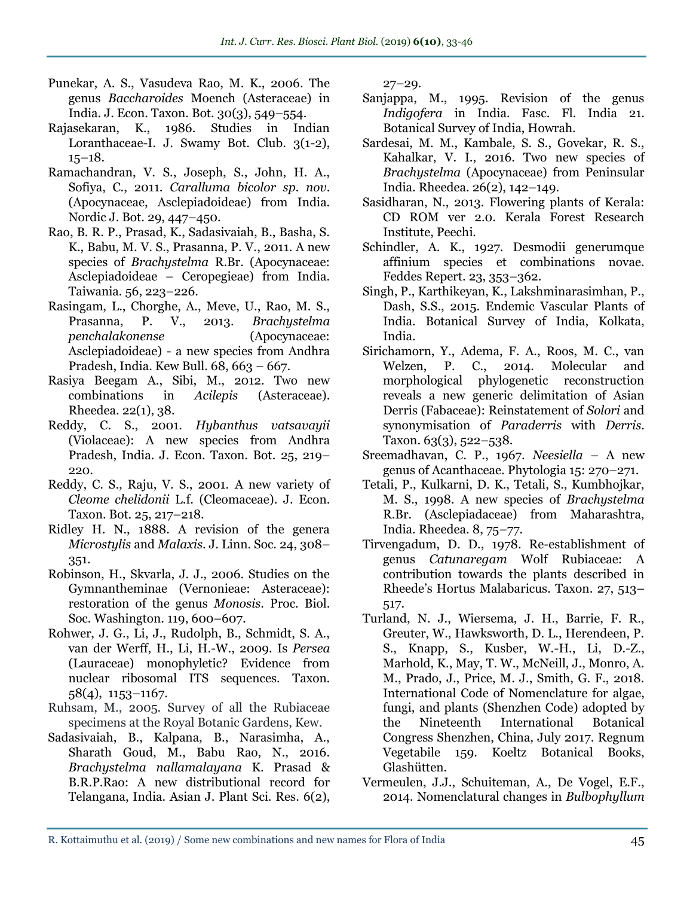- Punekar, A. S., Vasudeva Rao, M. K., 2006. The genus *Baccharoides* Moench (Asteraceae) in India. J. Econ. Taxon. Bot. 30(3), 549–554.
- Rajasekaran, K., 1986. Studies in Indian Loranthaceae-I. J. Swamy Bot. Club. 3(1-2), 15–18.
- Ramachandran, V. S., Joseph, S., John, H. A., Sofiya, C., 2011. *Caralluma bicolor sp. nov*. (Apocynaceae, Asclepiadoideae) from India. Nordic J. Bot. 29, 447–450.
- Rao, B. R. P., Prasad, K., Sadasivaiah, B., Basha, S. K., Babu, M. V. S., Prasanna, P. V., 2011. A new species of *Brachystelma* R.Br. (Apocynaceae: Asclepiadoideae – Ceropegieae) from India. Taiwania*.* 56, 223–226.
- Rasingam, L., Chorghe, A., Meve, U., Rao, M. S., Prasanna, P. V., 2013. *Brachystelma penchalakonense* (Apocynaceae: Asclepiadoideae) - a new species from Andhra Pradesh, India. Kew Bull. 68, 663 – 667.
- Rasiya Beegam A., Sibi, M., 2012. Two new combinations in *Acilepis* (Asteraceae). Rheedea. 22(1), 38.
- Reddy, C. S., 2001. *Hybanthus vatsavayii*  (Violaceae): A new species from Andhra Pradesh, India. J. Econ. Taxon. Bot. 25, 219– 220.
- Reddy, C. S., Raju, V. S., 2001. A new variety of *Cleome chelidonii* L.f. (Cleomaceae). J. Econ. Taxon. Bot. 25, 217–218.
- Ridley H. N., 1888. A revision of the genera *Microstylis* and *Malaxis*. J. Linn. Soc. 24, 308– 351.
- Robinson, H., Skvarla, J. J., 2006. Studies on the Gymnantheminae (Vernonieae: Asteraceae): restoration of the genus *Monosis*. Proc. Biol. Soc. Washington. 119, 600–607.
- Rohwer, J. G., Li, J., Rudolph, B., Schmidt, S. A., van der Werff, H., Li, H.-W., 2009. Is *Persea*  (Lauraceae) monophyletic? Evidence from nuclear ribosomal ITS sequences. Taxon*.*  58(4), 1153–1167.
- Ruhsam, M., 2005. Survey of all the Rubiaceae specimens at the Royal Botanic Gardens, Kew.
- Sadasivaiah, B., Kalpana, B., Narasimha, A., Sharath Goud, M., Babu Rao, N., 2016. *Brachystelma nallamalayana* K. Prasad & B.R.P.Rao: A new distributional record for Telangana, India. Asian J. Plant Sci. Res. 6(2),

 $27 - 29.$ 

- Sanjappa, M., 1995. Revision of the genus *Indigofera* in India. Fasc. Fl. India 21. Botanical Survey of India, Howrah.
- Sardesai, M. M., Kambale, S. S., Govekar, R. S., Kahalkar, V. I., 2016. Two new species of *Brachystelma* (Apocynaceae) from Peninsular India. Rheedea. 26(2), 142–149.
- Sasidharan, N., 2013. Flowering plants of Kerala: CD ROM ver 2.0. Kerala Forest Research Institute, Peechi.
- Schindler, A. K., 1927. Desmodii generumque affinium species et combinations novae. Feddes Repert. 23, 353–362.
- Singh, P., Karthikeyan, K., Lakshminarasimhan, P., Dash, S.S., 2015. Endemic Vascular Plants of India. Botanical Survey of India, Kolkata, India.
- Sirichamorn, Y., Adema, F. A., Roos, M. C., van Welzen, P. C., 2014. Molecular and morphological phylogenetic reconstruction reveals a new generic delimitation of Asian Derris (Fabaceae): Reinstatement of *Solori* and synonymisation of *Paraderris* with *Derris*. Taxon. 63(3), 522–538.
- Sreemadhavan, C. P., 1967. *Neesiella*  A new genus of Acanthaceae. Phytologia 15: 270–271.
- Tetali, P., Kulkarni, D. K., Tetali, S., Kumbhojkar, M. S., 1998. A new species of *Brachystelma*  R.Br. (Asclepiadaceae) from Maharashtra, India. Rheedea. 8, 75–77.
- Tirvengadum, D. D., 1978. Re-establishment of genus *Catunaregam* Wolf Rubiaceae: A contribution towards the plants described in Rheede's Hortus Malabaricus. Taxon. 27, 513– 517.
- Turland, N. J., Wiersema, J. H., Barrie, F. R., Greuter, W., Hawksworth, D. L., Herendeen, P. S., Knapp, S., Kusber, W.-H., Li, D.-Z., Marhold, K., May, T. W., McNeill, J., Monro, A. M., Prado, J., Price, M. J., Smith, G. F., 2018. International Code of Nomenclature for algae, fungi, and plants (Shenzhen Code) adopted by the Nineteenth International Botanical Congress Shenzhen, China, July 2017. Regnum Vegetabile 159. Koeltz Botanical Books, Glashütten.
- Vermeulen, J.J., Schuiteman, A., De Vogel, E.F., 2014. Nomenclatural changes in *Bulbophyllum*